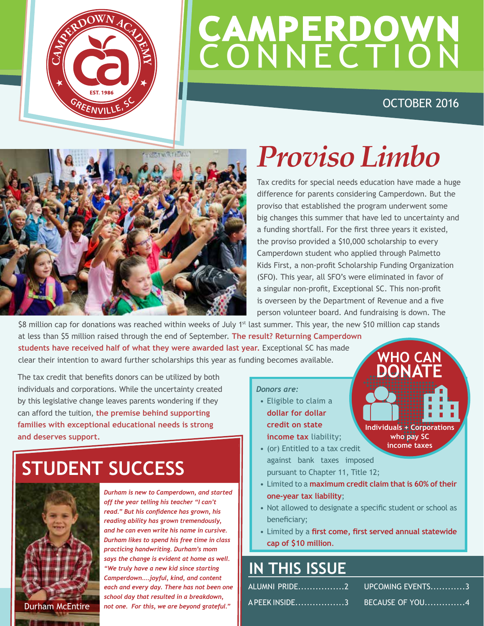

## **CAMPERDOWN CONNECTION**

### OCTOBER 2016



### *Proviso Limbo*

Tax credits for special needs education have made a huge difference for parents considering Camperdown. But the proviso that established the program underwent some big changes this summer that have led to uncertainty and a funding shortfall. For the first three years it existed, the proviso provided a \$10,000 scholarship to every Camperdown student who applied through Palmetto Kids First, a non-profit Scholarship Funding Organization (SFO). This year, all SFO's were eliminated in favor of a singular non-profit, Exceptional SC. This non-profit is overseen by the Department of Revenue and a five person volunteer board. And fundraising is down. The

\$8 million cap for donations was reached within weeks of July 1<sup>st</sup> last summer. This year, the new \$10 million cap stands at less than \$5 million raised through the end of September. **The result? Returning Camperdown students have received half of what they were awarded last year.** Exceptional SC has made clear their intention to award further scholarships this year as funding becomes available. **WHO CAN DONATE**

The tax credit that benefits donors can be utilized by both individuals and corporations. While the uncertainty created by this legislative change leaves parents wondering if they can afford the tuition, **the premise behind supporting families with exceptional educational needs is strong and deserves support.**

### **STUDENT SUCCESS**



*Durham is new to Camperdown, and started off the year telling his teacher "I can't read." But his confidence has grown, his reading ability has grown tremendously, and he can even write his name in cursive. Durham likes to spend his free time in class practicing handwriting. Durham's mom says the change is evident at home as well. "We truly have a new kid since starting Camperdown....joyful, kind, and content each and every day. There has not been one school day that resulted in a breakdown,*  Durham McEntire *not one. For this, we are beyond grateful."*

#### *Donors are:*

- Eligible to claim a **dollar for dollar credit on state income tax** liability;
- (or) Entitled to a tax credit against bank taxes imposed pursuant to Chapter 11, Title 12;
- Limited to a **maximum credit claim that is 60% of their one-year tax liability**;
- Not allowed to designate a specific student or school as beneficiary;
- Limited by a **first come, first served annual statewide cap of \$10 million**.

### **IN THIS ISSUE**

| ALUMNI PRIDE2         UPCOMING EVENTS3  |
|-----------------------------------------|
| A PEEK INSIDE3         BECAUSE OF  YOU4 |

**Individuals + Corporations who pay SC income taxes**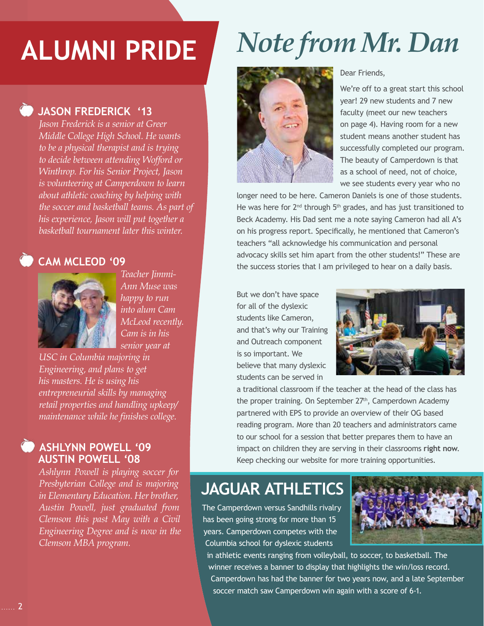### **JASON FREDERICK '13**

*Jason Frederick is a senior at Greer Middle College High School. He wants to be a physical therapist and is trying to decide between attending Wofford or Winthrop. For his Senior Project, Jason is volunteering at Camperdown to learn about athletic coaching by helping with the soccer and basketball teams. As part of his experience, Jason will put together a basketball tournament later this winter.*

### CAM MCLEOD '09



*Teacher Jimmi-Ann Muse was happy to run into alum Cam McLeod recently. Cam is in his senior year at*

*USC in Columbia majoring in Engineering, and plans to get his masters. He is using his entrepreneurial skills by managing retail properties and handling upkeep/ maintenance while he finishes college.*

### **ASHLYNN POWELL '09 AUSTIN POWELL '08**

*Ashlynn Powell is playing soccer for Presbyterian College and is majoring in Elementary Education. Her brother, Austin Powell, just graduated from Clemson this past May with a Civil Engineering Degree and is now in the Clemson MBA program.* 

### **ALUMNI PRIDE** *Note from Mr. Dan*



#### Dear Friends,

We're off to a great start this school year! 29 new students and 7 new faculty (meet our new teachers on page 4). Having room for a new student means another student has successfully completed our program. The beauty of Camperdown is that as a school of need, not of choice, we see students every year who no

longer need to be here. Cameron Daniels is one of those students. He was here for  $2^{nd}$  through  $5^{th}$  grades, and has just transitioned to Beck Academy. His Dad sent me a note saying Cameron had all A's on his progress report. Specifically, he mentioned that Cameron's teachers "all acknowledge his communication and personal advocacy skills set him apart from the other students!" These are the success stories that I am privileged to hear on a daily basis.

But we don't have space for all of the dyslexic students like Cameron, and that's why our Training and Outreach component is so important. We believe that many dyslexic students can be served in



a traditional classroom if the teacher at the head of the class has the proper training. On September 27<sup>th</sup>, Camperdown Academy partnered with EPS to provide an overview of their OG based reading program. More than 20 teachers and administrators came to our school for a session that better prepares them to have an impact on children they are serving in their classrooms **right now**. Keep checking our website for more training opportunities.

### **JAGUAR ATHLETICS**

The Camperdown versus Sandhills rivalry has been going strong for more than 15 years. Camperdown competes with the Columbia school for dyslexic students



in athletic events ranging from volleyball, to soccer, to basketball. The winner receives a banner to display that highlights the win/loss record. Camperdown has had the banner for two years now, and a late September soccer match saw Camperdown win again with a score of 6-1.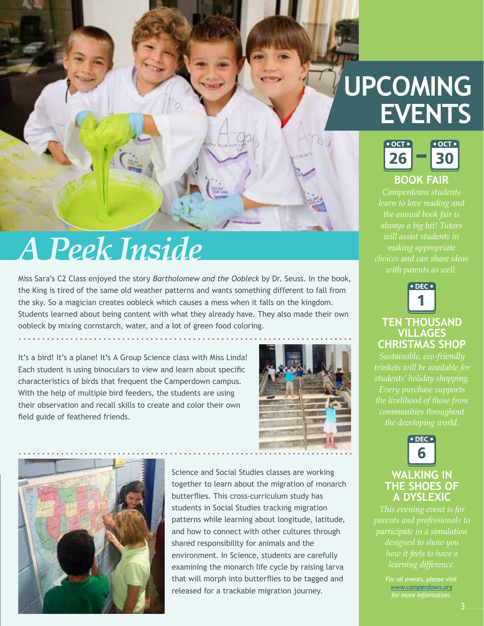### **UPCOMING EVENTS**



*learn to love reading and will assist students in making appropriate* 



### **TEN THOUSAND VILLAGES CHRISTMAS SHOP**

*Sustainable, eco-friendly students' holiday shopping. Every purchase supports the developing world.*



### **WALKING IN THE SHOES OF A DYSLEXIC**

*parents and professionals to participate in a simulation how it feels to have a* 

> *For all events, please visit www.camperdown.org*

### **A Peek Inside**

Miss Sara's C2 Class enjoyed the story *Bartholomew and the Oobleck* by Dr. Seuss. In the book, the King is tired of the same old weather patterns and wants something different to fall from the sky. So a magician creates oobleck which causes a mess when it falls on the kingdom. Students learned about being content with what they already have. They also made their own oobleck by mixing cornstarch, water, and a lot of green food coloring.

It's a bird! It's a plane! It's A Group Science class with Miss Linda! Each student is using binoculars to view and learn about specific characteristics of birds that frequent the Camperdown campus. With the help of multiple bird feeders, the students are using their observation and recall skills to create and color their own field guide of feathered friends.





Science and Social Studies classes are working together to learn about the migration of monarch butterflies. This cross-curriculum study has students in Social Studies tracking migration patterns while learning about longitude, latitude, and how to connect with other cultures through shared responsibility for animals and the environment. In Science, students are carefully examining the monarch life cycle by raising larva that will morph into butterflies to be tagged and released for a trackable migration journey.